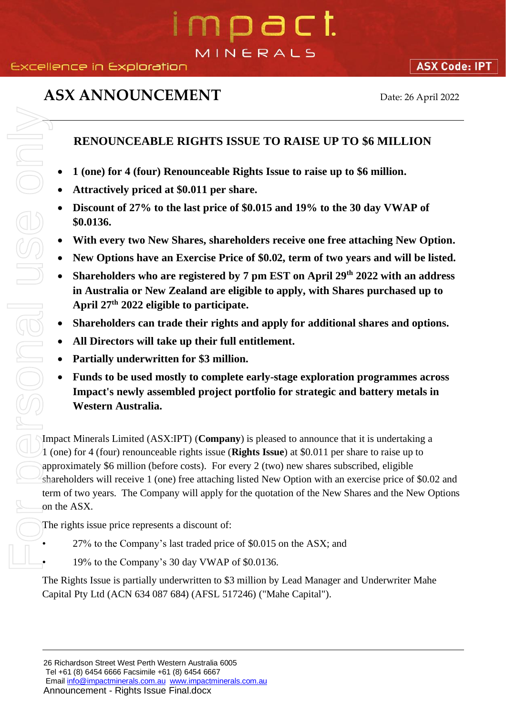## 1 D a C I. MINERALS

## **ASX ANNOUNCEMENT** Date: 26 April 2022

**ASX Code: IPT** 

## **RENOUNCEABLE RIGHTS ISSUE TO RAISE UP TO \$6 MILLION**

- **1 (one) for 4 (four) Renounceable Rights Issue to raise up to \$6 million.**
- **Attractively priced at \$0.011 per share.**
- **Discount of 27% to the last price of \$0.015 and 19% to the 30 day VWAP of \$0.0136.**
- **With every two New Shares, shareholders receive one free attaching New Option.**
- **New Options have an Exercise Price of \$0.02, term of two years and will be listed.**
- Shareholders who are registered by 7 pm EST on April 29<sup>th</sup> 2022 with an address **in Australia or New Zealand are eligible to apply, with Shares purchased up to April 27th 2022 eligible to participate.**
- **Shareholders can trade their rights and apply for additional shares and options.**
- **All Directors will take up their full entitlement.**
- **Partially underwritten for \$3 million.**
- **Funds to be used mostly to complete early-stage exploration programmes across Impact's newly assembled project portfolio for strategic and battery metals in Western Australia.**

Impact Minerals Limited (ASX:IPT) (**Company**) is pleased to announce that it is undertaking a 1 (one) for 4 (four) renounceable rights issue (**Rights Issue**) at \$0.011 per share to raise up to approximately \$6 million (before costs). For every 2 (two) new shares subscribed, eligible shareholders will receive 1 (one) free attaching listed New Option with an exercise price of \$0.02 and term of two years. The Company will apply for the quotation of the New Shares and the New Options on the ASX. **EXAMPLE FROM FROM CONTIFY STATE ATTENTS**<br> **CAPITAL PTY ACTES CONTIMET ATTENT OF A Attractively priced at \$0,011 per share.**<br> **CAPITAL PTY ACTES CONTIMET ATTENT OF A SUBMATE CONTIMETER CONTINUITY TO A SUBMATE CAPIT ON A S** 

The rights issue price represents a discount of:

- 27% to the Company's last traded price of \$0.015 on the ASX; and
- 19% to the Company's 30 day VWAP of \$0.0136.

The Rights Issue is partially underwritten to \$3 million by Lead Manager and Underwriter Mahe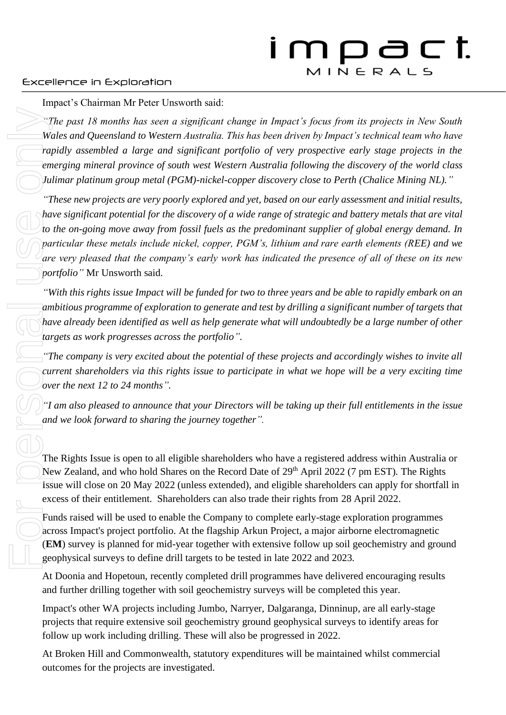## Excellence in Exploration

Impact's Chairman Mr Peter Unsworth said:

*"The past 18 months has seen a significant change in Impact's focus from its projects in New South Wales and Queensland to Western Australia. This has been driven by Impact's technical team who have rapidly assembled a large and significant portfolio of very prospective early stage projects in the emerging mineral province of south west Western Australia following the discovery of the world class Julimar platinum group metal (PGM)-nickel-copper discovery close to Perth (Chalice Mining NL)."*

*"These new projects are very poorly explored and yet, based on our early assessment and initial results, have significant potential for the discovery of a wide range of strategic and battery metals that are vital to the on-going move away from fossil fuels as the predominant supplier of global energy demand. In particular these metals include nickel, copper, PGM's, lithium and rare earth elements (REE) and we are very pleased that the company's early work has indicated the presence of all of these on its new portfolio"* Mr Unsworth said.

*"With this rights issue Impact will be funded for two to three years and be able to rapidly embark on an*  ambitious programme of exploration to generate and test by drilling a significant number of targets that *have already been identified as well as help generate what will undoubtedly be a large number of other targets as work progresses across the portfolio".*

*"The company is very excited about the potential of these projects and accordingly wishes to invite all current shareholders via this rights issue to participate in what we hope will be a very exciting time over the next 12 to 24 months".*

*"I am also pleased to announce that your Directors will be taking up their full entitlements in the issue and we look forward to sharing the journey together".*

The Rights Issue is open to all eligible shareholders who have a registered address within Australia or New Zealand, and who hold Shares on the Record Date of 29<sup>th</sup> April 2022 (7 pm EST). The Rights Issue will close on 20 May 2022 (unless extended), and eligible shareholders can apply for shortfall in excess of their entitlement. Shareholders can also trade their rights from 28 April 2022.

Funds raised will be used to enable the Company to complete early-stage exploration programmes across Impact's project portfolio. At the flagship Arkun Project, a major airborne electromagnetic (**EM**) survey is planned for mid-year together with extensive follow up soil geochemistry and ground geophysical surveys to define drill targets to be tested in late 2022 and 2023.

At Doonia and Hopetoun, recently completed drill programmes have delivered encouraging results and further drilling together with soil geochemistry surveys will be completed this year.

Impact's other WA projects including Jumbo, Narryer, Dalgaranga, Dinninup, are all early-stage projects that require extensive soil geochemistry ground geophysical surveys to identify areas for follow up work including drilling. These will also be progressed in 2022.

At Broken Hill and Commonwealth, statutory expenditures will be maintained whilst commercial